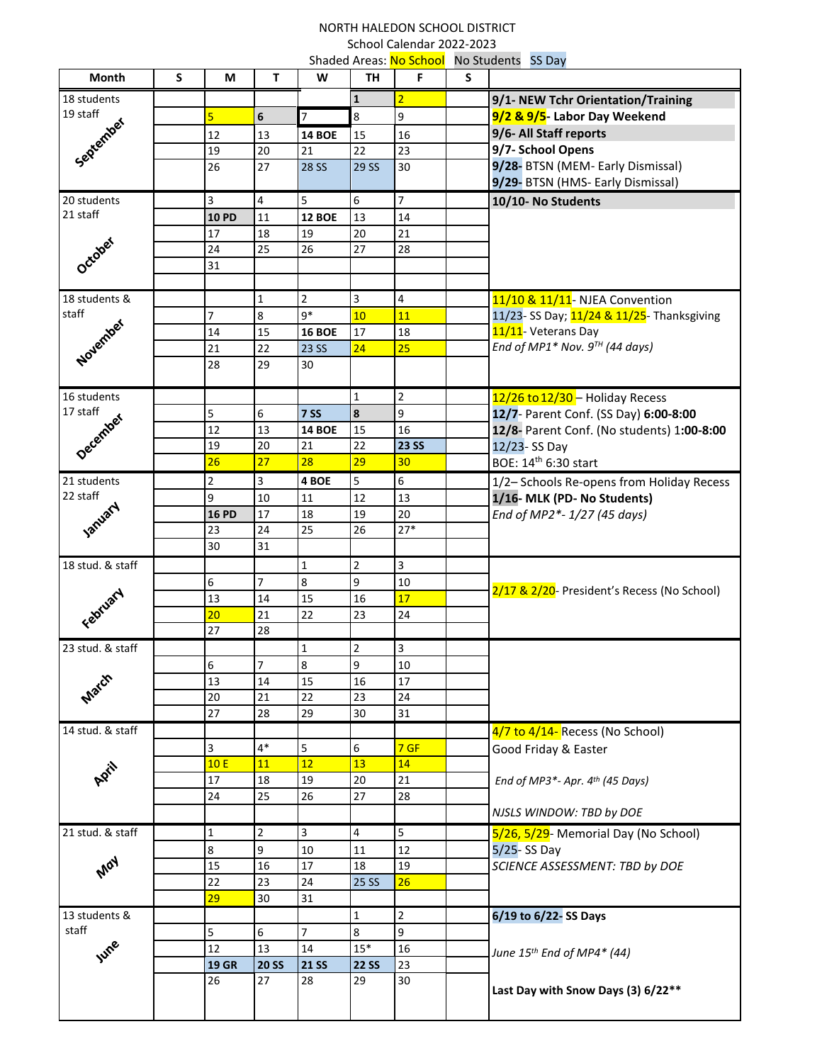## NORTH HALEDON SCHOOL DISTRICT School Calendar 2022-2023 Shaded Areas: No School No Students SS Day

| 18 students<br>$\mathbf{1}$<br>$\overline{2}$<br>9/1- NEW Tchr Orientation/Training<br>19 staff<br>$\overline{9}$<br>$\overline{5}$<br>9/2 & 9/5- Labor Day Weekend<br>$\overline{7}$<br>8<br>$\boldsymbol{6}$<br>September<br>9/6- All Staff reports<br>12<br>13<br>16<br><b>14 BOE</b><br>15<br>9/7- School Opens<br>23<br>20<br>22<br>19<br>21<br>9/28- BTSN (MEM- Early Dismissal)<br>27<br>26<br><b>28 SS</b><br>29 SS<br>30<br>9/29- BTSN (HMS- Early Dismissal)<br>$\overline{7}$<br>20 students<br>5<br>3<br>4<br>6<br>10/10- No Students<br>21 staff<br><b>10 PD</b><br>11<br><b>12 BOE</b><br>13<br>$14\,$<br>21<br>18<br>17<br>19<br>20<br>October<br>25<br>28<br>24<br>26<br>27<br>31<br>$\overline{2}$<br>18 students &<br>$1\,$<br>$\overline{\mathbf{3}}$<br>4<br>11/10 & 11/11- NJEA Convention<br>staff<br>$q*$<br>$\overline{7}$<br>$\bf 8$<br>10<br>11<br>November<br>11/11- Veterans Day<br>15<br>18<br>14<br><b>16 BOE</b><br>17<br>End of MP1* Nov. $9^{TH}$ (44 days)<br>25<br>21<br>22<br>23 SS<br>24<br>28<br>29<br>30<br>$\mathbf 2$<br>16 students<br>$\mathbf{1}$<br>12/26 to 12/30 - Holiday Recess<br>17 staff<br>9<br>5<br>8<br>12/7- Parent Conf. (SS Day) 6:00-8:00<br>6<br><b>7 SS</b><br>December<br>12<br>16<br>13<br>15<br><b>14 BOE</b><br>12/8- Parent Conf. (No students) 1:00-8:00<br>22<br><b>23 SS</b><br>19<br>20<br>21<br>12/23-SS Day<br>26<br>27<br>28<br>29<br>30<br>BOE: 14th 6:30 start<br>6<br>$\overline{2}$<br>$\overline{\mathbf{3}}$<br>5<br>21 students<br>4 BOE<br>1/2- Schools Re-opens from Holiday Recess<br>22 staff<br>9<br>13<br>1/16- MLK (PD- No Students)<br>10<br>11<br>12<br>January<br>17<br>20<br>End of MP2*-1/27 (45 days)<br><b>16 PD</b><br>18<br>19<br>$27*$<br>24<br>25<br>26<br>23<br>31<br>30<br>$\mathbf 1$<br>3<br>18 stud. & staff<br>$\overline{2}$<br>$\overline{7}$<br>8<br>6<br>9<br>10<br>February<br>15<br>13<br>17<br>14<br>16<br>21<br>22<br>24<br>20<br>23<br>27<br>28<br>3<br>23 stud. & staff<br>$\mathbf{1}$<br>2<br>8<br>6<br>$\overline{7}$<br>$\boldsymbol{9}$<br>$10\,$<br>March<br>17<br>13<br>15<br>16<br>14<br>21<br>22<br>20<br>23<br>24<br>27<br>29<br>31<br>28<br>30<br>14 stud. & staff<br>4/7 to 4/14- Recess (No School)<br>$4*$<br>5<br>3<br>6<br>7 GF<br>Good Friday & Easter<br>12<br>10E<br><b>11</b><br>13<br>14<br>April<br>21<br>17<br>18<br>19<br>20<br>End of MP3*- Apr. 4th (45 Days)<br>25<br>24<br>26<br>27<br>28<br>NJSLS WINDOW: TBD by DOE<br>$\overline{3}$<br>5<br>21 stud. & staff<br>$\overline{2}$<br>$\overline{4}$<br>$\mathbf{1}$<br>5/26, 5/29- Memorial Day (No School)<br>$\bf 8$<br>$\overline{9}$<br>12<br>10<br>$5/25 - SS$ Day<br>11<br>Aray<br>17<br>19<br>16<br>SCIENCE ASSESSMENT: TBD by DOE<br>15<br>18<br>22<br>23<br><b>25 SS</b><br>26<br>24<br>29<br>31<br>30<br>$\overline{2}$<br>6/19 to 6/22-SS Days<br>13 students &<br>$\mathbf{1}$ | <b>Month</b> | S | М | T | W | TH | וטטווטט טון, נעט וה שטאווט<br>F | S | <b>IND SCAULING</b> SS DUY                  |
|-------------------------------------------------------------------------------------------------------------------------------------------------------------------------------------------------------------------------------------------------------------------------------------------------------------------------------------------------------------------------------------------------------------------------------------------------------------------------------------------------------------------------------------------------------------------------------------------------------------------------------------------------------------------------------------------------------------------------------------------------------------------------------------------------------------------------------------------------------------------------------------------------------------------------------------------------------------------------------------------------------------------------------------------------------------------------------------------------------------------------------------------------------------------------------------------------------------------------------------------------------------------------------------------------------------------------------------------------------------------------------------------------------------------------------------------------------------------------------------------------------------------------------------------------------------------------------------------------------------------------------------------------------------------------------------------------------------------------------------------------------------------------------------------------------------------------------------------------------------------------------------------------------------------------------------------------------------------------------------------------------------------------------------------------------------------------------------------------------------------------------------------------------------------------------------------------------------------------------------------------------------------------------------------------------------------------------------------------------------------------------------------------------------------------------------------------------------------------------------------------------------------------------------------------------------------------------------------------------------------------------------------------------------------------------------------------------------------------------------------------------------------------------------------------------------------------------------------------------------------------------------------|--------------|---|---|---|---|----|---------------------------------|---|---------------------------------------------|
|                                                                                                                                                                                                                                                                                                                                                                                                                                                                                                                                                                                                                                                                                                                                                                                                                                                                                                                                                                                                                                                                                                                                                                                                                                                                                                                                                                                                                                                                                                                                                                                                                                                                                                                                                                                                                                                                                                                                                                                                                                                                                                                                                                                                                                                                                                                                                                                                                                                                                                                                                                                                                                                                                                                                                                                                                                                                                           |              |   |   |   |   |    |                                 |   |                                             |
|                                                                                                                                                                                                                                                                                                                                                                                                                                                                                                                                                                                                                                                                                                                                                                                                                                                                                                                                                                                                                                                                                                                                                                                                                                                                                                                                                                                                                                                                                                                                                                                                                                                                                                                                                                                                                                                                                                                                                                                                                                                                                                                                                                                                                                                                                                                                                                                                                                                                                                                                                                                                                                                                                                                                                                                                                                                                                           |              |   |   |   |   |    |                                 |   |                                             |
|                                                                                                                                                                                                                                                                                                                                                                                                                                                                                                                                                                                                                                                                                                                                                                                                                                                                                                                                                                                                                                                                                                                                                                                                                                                                                                                                                                                                                                                                                                                                                                                                                                                                                                                                                                                                                                                                                                                                                                                                                                                                                                                                                                                                                                                                                                                                                                                                                                                                                                                                                                                                                                                                                                                                                                                                                                                                                           |              |   |   |   |   |    |                                 |   |                                             |
|                                                                                                                                                                                                                                                                                                                                                                                                                                                                                                                                                                                                                                                                                                                                                                                                                                                                                                                                                                                                                                                                                                                                                                                                                                                                                                                                                                                                                                                                                                                                                                                                                                                                                                                                                                                                                                                                                                                                                                                                                                                                                                                                                                                                                                                                                                                                                                                                                                                                                                                                                                                                                                                                                                                                                                                                                                                                                           |              |   |   |   |   |    |                                 |   |                                             |
|                                                                                                                                                                                                                                                                                                                                                                                                                                                                                                                                                                                                                                                                                                                                                                                                                                                                                                                                                                                                                                                                                                                                                                                                                                                                                                                                                                                                                                                                                                                                                                                                                                                                                                                                                                                                                                                                                                                                                                                                                                                                                                                                                                                                                                                                                                                                                                                                                                                                                                                                                                                                                                                                                                                                                                                                                                                                                           |              |   |   |   |   |    |                                 |   |                                             |
|                                                                                                                                                                                                                                                                                                                                                                                                                                                                                                                                                                                                                                                                                                                                                                                                                                                                                                                                                                                                                                                                                                                                                                                                                                                                                                                                                                                                                                                                                                                                                                                                                                                                                                                                                                                                                                                                                                                                                                                                                                                                                                                                                                                                                                                                                                                                                                                                                                                                                                                                                                                                                                                                                                                                                                                                                                                                                           |              |   |   |   |   |    |                                 |   |                                             |
|                                                                                                                                                                                                                                                                                                                                                                                                                                                                                                                                                                                                                                                                                                                                                                                                                                                                                                                                                                                                                                                                                                                                                                                                                                                                                                                                                                                                                                                                                                                                                                                                                                                                                                                                                                                                                                                                                                                                                                                                                                                                                                                                                                                                                                                                                                                                                                                                                                                                                                                                                                                                                                                                                                                                                                                                                                                                                           |              |   |   |   |   |    |                                 |   |                                             |
|                                                                                                                                                                                                                                                                                                                                                                                                                                                                                                                                                                                                                                                                                                                                                                                                                                                                                                                                                                                                                                                                                                                                                                                                                                                                                                                                                                                                                                                                                                                                                                                                                                                                                                                                                                                                                                                                                                                                                                                                                                                                                                                                                                                                                                                                                                                                                                                                                                                                                                                                                                                                                                                                                                                                                                                                                                                                                           |              |   |   |   |   |    |                                 |   |                                             |
|                                                                                                                                                                                                                                                                                                                                                                                                                                                                                                                                                                                                                                                                                                                                                                                                                                                                                                                                                                                                                                                                                                                                                                                                                                                                                                                                                                                                                                                                                                                                                                                                                                                                                                                                                                                                                                                                                                                                                                                                                                                                                                                                                                                                                                                                                                                                                                                                                                                                                                                                                                                                                                                                                                                                                                                                                                                                                           |              |   |   |   |   |    |                                 |   |                                             |
|                                                                                                                                                                                                                                                                                                                                                                                                                                                                                                                                                                                                                                                                                                                                                                                                                                                                                                                                                                                                                                                                                                                                                                                                                                                                                                                                                                                                                                                                                                                                                                                                                                                                                                                                                                                                                                                                                                                                                                                                                                                                                                                                                                                                                                                                                                                                                                                                                                                                                                                                                                                                                                                                                                                                                                                                                                                                                           |              |   |   |   |   |    |                                 |   |                                             |
|                                                                                                                                                                                                                                                                                                                                                                                                                                                                                                                                                                                                                                                                                                                                                                                                                                                                                                                                                                                                                                                                                                                                                                                                                                                                                                                                                                                                                                                                                                                                                                                                                                                                                                                                                                                                                                                                                                                                                                                                                                                                                                                                                                                                                                                                                                                                                                                                                                                                                                                                                                                                                                                                                                                                                                                                                                                                                           |              |   |   |   |   |    |                                 |   |                                             |
|                                                                                                                                                                                                                                                                                                                                                                                                                                                                                                                                                                                                                                                                                                                                                                                                                                                                                                                                                                                                                                                                                                                                                                                                                                                                                                                                                                                                                                                                                                                                                                                                                                                                                                                                                                                                                                                                                                                                                                                                                                                                                                                                                                                                                                                                                                                                                                                                                                                                                                                                                                                                                                                                                                                                                                                                                                                                                           |              |   |   |   |   |    |                                 |   |                                             |
|                                                                                                                                                                                                                                                                                                                                                                                                                                                                                                                                                                                                                                                                                                                                                                                                                                                                                                                                                                                                                                                                                                                                                                                                                                                                                                                                                                                                                                                                                                                                                                                                                                                                                                                                                                                                                                                                                                                                                                                                                                                                                                                                                                                                                                                                                                                                                                                                                                                                                                                                                                                                                                                                                                                                                                                                                                                                                           |              |   |   |   |   |    |                                 |   |                                             |
|                                                                                                                                                                                                                                                                                                                                                                                                                                                                                                                                                                                                                                                                                                                                                                                                                                                                                                                                                                                                                                                                                                                                                                                                                                                                                                                                                                                                                                                                                                                                                                                                                                                                                                                                                                                                                                                                                                                                                                                                                                                                                                                                                                                                                                                                                                                                                                                                                                                                                                                                                                                                                                                                                                                                                                                                                                                                                           |              |   |   |   |   |    |                                 |   | 11/23- SS Day; 11/24 & 11/25- Thanksgiving  |
|                                                                                                                                                                                                                                                                                                                                                                                                                                                                                                                                                                                                                                                                                                                                                                                                                                                                                                                                                                                                                                                                                                                                                                                                                                                                                                                                                                                                                                                                                                                                                                                                                                                                                                                                                                                                                                                                                                                                                                                                                                                                                                                                                                                                                                                                                                                                                                                                                                                                                                                                                                                                                                                                                                                                                                                                                                                                                           |              |   |   |   |   |    |                                 |   |                                             |
|                                                                                                                                                                                                                                                                                                                                                                                                                                                                                                                                                                                                                                                                                                                                                                                                                                                                                                                                                                                                                                                                                                                                                                                                                                                                                                                                                                                                                                                                                                                                                                                                                                                                                                                                                                                                                                                                                                                                                                                                                                                                                                                                                                                                                                                                                                                                                                                                                                                                                                                                                                                                                                                                                                                                                                                                                                                                                           |              |   |   |   |   |    |                                 |   |                                             |
|                                                                                                                                                                                                                                                                                                                                                                                                                                                                                                                                                                                                                                                                                                                                                                                                                                                                                                                                                                                                                                                                                                                                                                                                                                                                                                                                                                                                                                                                                                                                                                                                                                                                                                                                                                                                                                                                                                                                                                                                                                                                                                                                                                                                                                                                                                                                                                                                                                                                                                                                                                                                                                                                                                                                                                                                                                                                                           |              |   |   |   |   |    |                                 |   |                                             |
|                                                                                                                                                                                                                                                                                                                                                                                                                                                                                                                                                                                                                                                                                                                                                                                                                                                                                                                                                                                                                                                                                                                                                                                                                                                                                                                                                                                                                                                                                                                                                                                                                                                                                                                                                                                                                                                                                                                                                                                                                                                                                                                                                                                                                                                                                                                                                                                                                                                                                                                                                                                                                                                                                                                                                                                                                                                                                           |              |   |   |   |   |    |                                 |   |                                             |
|                                                                                                                                                                                                                                                                                                                                                                                                                                                                                                                                                                                                                                                                                                                                                                                                                                                                                                                                                                                                                                                                                                                                                                                                                                                                                                                                                                                                                                                                                                                                                                                                                                                                                                                                                                                                                                                                                                                                                                                                                                                                                                                                                                                                                                                                                                                                                                                                                                                                                                                                                                                                                                                                                                                                                                                                                                                                                           |              |   |   |   |   |    |                                 |   |                                             |
|                                                                                                                                                                                                                                                                                                                                                                                                                                                                                                                                                                                                                                                                                                                                                                                                                                                                                                                                                                                                                                                                                                                                                                                                                                                                                                                                                                                                                                                                                                                                                                                                                                                                                                                                                                                                                                                                                                                                                                                                                                                                                                                                                                                                                                                                                                                                                                                                                                                                                                                                                                                                                                                                                                                                                                                                                                                                                           |              |   |   |   |   |    |                                 |   |                                             |
|                                                                                                                                                                                                                                                                                                                                                                                                                                                                                                                                                                                                                                                                                                                                                                                                                                                                                                                                                                                                                                                                                                                                                                                                                                                                                                                                                                                                                                                                                                                                                                                                                                                                                                                                                                                                                                                                                                                                                                                                                                                                                                                                                                                                                                                                                                                                                                                                                                                                                                                                                                                                                                                                                                                                                                                                                                                                                           |              |   |   |   |   |    |                                 |   |                                             |
|                                                                                                                                                                                                                                                                                                                                                                                                                                                                                                                                                                                                                                                                                                                                                                                                                                                                                                                                                                                                                                                                                                                                                                                                                                                                                                                                                                                                                                                                                                                                                                                                                                                                                                                                                                                                                                                                                                                                                                                                                                                                                                                                                                                                                                                                                                                                                                                                                                                                                                                                                                                                                                                                                                                                                                                                                                                                                           |              |   |   |   |   |    |                                 |   |                                             |
|                                                                                                                                                                                                                                                                                                                                                                                                                                                                                                                                                                                                                                                                                                                                                                                                                                                                                                                                                                                                                                                                                                                                                                                                                                                                                                                                                                                                                                                                                                                                                                                                                                                                                                                                                                                                                                                                                                                                                                                                                                                                                                                                                                                                                                                                                                                                                                                                                                                                                                                                                                                                                                                                                                                                                                                                                                                                                           |              |   |   |   |   |    |                                 |   |                                             |
|                                                                                                                                                                                                                                                                                                                                                                                                                                                                                                                                                                                                                                                                                                                                                                                                                                                                                                                                                                                                                                                                                                                                                                                                                                                                                                                                                                                                                                                                                                                                                                                                                                                                                                                                                                                                                                                                                                                                                                                                                                                                                                                                                                                                                                                                                                                                                                                                                                                                                                                                                                                                                                                                                                                                                                                                                                                                                           |              |   |   |   |   |    |                                 |   |                                             |
|                                                                                                                                                                                                                                                                                                                                                                                                                                                                                                                                                                                                                                                                                                                                                                                                                                                                                                                                                                                                                                                                                                                                                                                                                                                                                                                                                                                                                                                                                                                                                                                                                                                                                                                                                                                                                                                                                                                                                                                                                                                                                                                                                                                                                                                                                                                                                                                                                                                                                                                                                                                                                                                                                                                                                                                                                                                                                           |              |   |   |   |   |    |                                 |   |                                             |
|                                                                                                                                                                                                                                                                                                                                                                                                                                                                                                                                                                                                                                                                                                                                                                                                                                                                                                                                                                                                                                                                                                                                                                                                                                                                                                                                                                                                                                                                                                                                                                                                                                                                                                                                                                                                                                                                                                                                                                                                                                                                                                                                                                                                                                                                                                                                                                                                                                                                                                                                                                                                                                                                                                                                                                                                                                                                                           |              |   |   |   |   |    |                                 |   |                                             |
|                                                                                                                                                                                                                                                                                                                                                                                                                                                                                                                                                                                                                                                                                                                                                                                                                                                                                                                                                                                                                                                                                                                                                                                                                                                                                                                                                                                                                                                                                                                                                                                                                                                                                                                                                                                                                                                                                                                                                                                                                                                                                                                                                                                                                                                                                                                                                                                                                                                                                                                                                                                                                                                                                                                                                                                                                                                                                           |              |   |   |   |   |    |                                 |   |                                             |
|                                                                                                                                                                                                                                                                                                                                                                                                                                                                                                                                                                                                                                                                                                                                                                                                                                                                                                                                                                                                                                                                                                                                                                                                                                                                                                                                                                                                                                                                                                                                                                                                                                                                                                                                                                                                                                                                                                                                                                                                                                                                                                                                                                                                                                                                                                                                                                                                                                                                                                                                                                                                                                                                                                                                                                                                                                                                                           |              |   |   |   |   |    |                                 |   |                                             |
|                                                                                                                                                                                                                                                                                                                                                                                                                                                                                                                                                                                                                                                                                                                                                                                                                                                                                                                                                                                                                                                                                                                                                                                                                                                                                                                                                                                                                                                                                                                                                                                                                                                                                                                                                                                                                                                                                                                                                                                                                                                                                                                                                                                                                                                                                                                                                                                                                                                                                                                                                                                                                                                                                                                                                                                                                                                                                           |              |   |   |   |   |    |                                 |   |                                             |
|                                                                                                                                                                                                                                                                                                                                                                                                                                                                                                                                                                                                                                                                                                                                                                                                                                                                                                                                                                                                                                                                                                                                                                                                                                                                                                                                                                                                                                                                                                                                                                                                                                                                                                                                                                                                                                                                                                                                                                                                                                                                                                                                                                                                                                                                                                                                                                                                                                                                                                                                                                                                                                                                                                                                                                                                                                                                                           |              |   |   |   |   |    |                                 |   | 2/17 & 2/20- President's Recess (No School) |
|                                                                                                                                                                                                                                                                                                                                                                                                                                                                                                                                                                                                                                                                                                                                                                                                                                                                                                                                                                                                                                                                                                                                                                                                                                                                                                                                                                                                                                                                                                                                                                                                                                                                                                                                                                                                                                                                                                                                                                                                                                                                                                                                                                                                                                                                                                                                                                                                                                                                                                                                                                                                                                                                                                                                                                                                                                                                                           |              |   |   |   |   |    |                                 |   |                                             |
|                                                                                                                                                                                                                                                                                                                                                                                                                                                                                                                                                                                                                                                                                                                                                                                                                                                                                                                                                                                                                                                                                                                                                                                                                                                                                                                                                                                                                                                                                                                                                                                                                                                                                                                                                                                                                                                                                                                                                                                                                                                                                                                                                                                                                                                                                                                                                                                                                                                                                                                                                                                                                                                                                                                                                                                                                                                                                           |              |   |   |   |   |    |                                 |   |                                             |
|                                                                                                                                                                                                                                                                                                                                                                                                                                                                                                                                                                                                                                                                                                                                                                                                                                                                                                                                                                                                                                                                                                                                                                                                                                                                                                                                                                                                                                                                                                                                                                                                                                                                                                                                                                                                                                                                                                                                                                                                                                                                                                                                                                                                                                                                                                                                                                                                                                                                                                                                                                                                                                                                                                                                                                                                                                                                                           |              |   |   |   |   |    |                                 |   |                                             |
|                                                                                                                                                                                                                                                                                                                                                                                                                                                                                                                                                                                                                                                                                                                                                                                                                                                                                                                                                                                                                                                                                                                                                                                                                                                                                                                                                                                                                                                                                                                                                                                                                                                                                                                                                                                                                                                                                                                                                                                                                                                                                                                                                                                                                                                                                                                                                                                                                                                                                                                                                                                                                                                                                                                                                                                                                                                                                           |              |   |   |   |   |    |                                 |   |                                             |
|                                                                                                                                                                                                                                                                                                                                                                                                                                                                                                                                                                                                                                                                                                                                                                                                                                                                                                                                                                                                                                                                                                                                                                                                                                                                                                                                                                                                                                                                                                                                                                                                                                                                                                                                                                                                                                                                                                                                                                                                                                                                                                                                                                                                                                                                                                                                                                                                                                                                                                                                                                                                                                                                                                                                                                                                                                                                                           |              |   |   |   |   |    |                                 |   |                                             |
|                                                                                                                                                                                                                                                                                                                                                                                                                                                                                                                                                                                                                                                                                                                                                                                                                                                                                                                                                                                                                                                                                                                                                                                                                                                                                                                                                                                                                                                                                                                                                                                                                                                                                                                                                                                                                                                                                                                                                                                                                                                                                                                                                                                                                                                                                                                                                                                                                                                                                                                                                                                                                                                                                                                                                                                                                                                                                           |              |   |   |   |   |    |                                 |   |                                             |
|                                                                                                                                                                                                                                                                                                                                                                                                                                                                                                                                                                                                                                                                                                                                                                                                                                                                                                                                                                                                                                                                                                                                                                                                                                                                                                                                                                                                                                                                                                                                                                                                                                                                                                                                                                                                                                                                                                                                                                                                                                                                                                                                                                                                                                                                                                                                                                                                                                                                                                                                                                                                                                                                                                                                                                                                                                                                                           |              |   |   |   |   |    |                                 |   |                                             |
|                                                                                                                                                                                                                                                                                                                                                                                                                                                                                                                                                                                                                                                                                                                                                                                                                                                                                                                                                                                                                                                                                                                                                                                                                                                                                                                                                                                                                                                                                                                                                                                                                                                                                                                                                                                                                                                                                                                                                                                                                                                                                                                                                                                                                                                                                                                                                                                                                                                                                                                                                                                                                                                                                                                                                                                                                                                                                           |              |   |   |   |   |    |                                 |   |                                             |
|                                                                                                                                                                                                                                                                                                                                                                                                                                                                                                                                                                                                                                                                                                                                                                                                                                                                                                                                                                                                                                                                                                                                                                                                                                                                                                                                                                                                                                                                                                                                                                                                                                                                                                                                                                                                                                                                                                                                                                                                                                                                                                                                                                                                                                                                                                                                                                                                                                                                                                                                                                                                                                                                                                                                                                                                                                                                                           |              |   |   |   |   |    |                                 |   |                                             |
|                                                                                                                                                                                                                                                                                                                                                                                                                                                                                                                                                                                                                                                                                                                                                                                                                                                                                                                                                                                                                                                                                                                                                                                                                                                                                                                                                                                                                                                                                                                                                                                                                                                                                                                                                                                                                                                                                                                                                                                                                                                                                                                                                                                                                                                                                                                                                                                                                                                                                                                                                                                                                                                                                                                                                                                                                                                                                           |              |   |   |   |   |    |                                 |   |                                             |
|                                                                                                                                                                                                                                                                                                                                                                                                                                                                                                                                                                                                                                                                                                                                                                                                                                                                                                                                                                                                                                                                                                                                                                                                                                                                                                                                                                                                                                                                                                                                                                                                                                                                                                                                                                                                                                                                                                                                                                                                                                                                                                                                                                                                                                                                                                                                                                                                                                                                                                                                                                                                                                                                                                                                                                                                                                                                                           |              |   |   |   |   |    |                                 |   |                                             |
|                                                                                                                                                                                                                                                                                                                                                                                                                                                                                                                                                                                                                                                                                                                                                                                                                                                                                                                                                                                                                                                                                                                                                                                                                                                                                                                                                                                                                                                                                                                                                                                                                                                                                                                                                                                                                                                                                                                                                                                                                                                                                                                                                                                                                                                                                                                                                                                                                                                                                                                                                                                                                                                                                                                                                                                                                                                                                           |              |   |   |   |   |    |                                 |   |                                             |
|                                                                                                                                                                                                                                                                                                                                                                                                                                                                                                                                                                                                                                                                                                                                                                                                                                                                                                                                                                                                                                                                                                                                                                                                                                                                                                                                                                                                                                                                                                                                                                                                                                                                                                                                                                                                                                                                                                                                                                                                                                                                                                                                                                                                                                                                                                                                                                                                                                                                                                                                                                                                                                                                                                                                                                                                                                                                                           |              |   |   |   |   |    |                                 |   |                                             |
|                                                                                                                                                                                                                                                                                                                                                                                                                                                                                                                                                                                                                                                                                                                                                                                                                                                                                                                                                                                                                                                                                                                                                                                                                                                                                                                                                                                                                                                                                                                                                                                                                                                                                                                                                                                                                                                                                                                                                                                                                                                                                                                                                                                                                                                                                                                                                                                                                                                                                                                                                                                                                                                                                                                                                                                                                                                                                           |              |   |   |   |   |    |                                 |   |                                             |
|                                                                                                                                                                                                                                                                                                                                                                                                                                                                                                                                                                                                                                                                                                                                                                                                                                                                                                                                                                                                                                                                                                                                                                                                                                                                                                                                                                                                                                                                                                                                                                                                                                                                                                                                                                                                                                                                                                                                                                                                                                                                                                                                                                                                                                                                                                                                                                                                                                                                                                                                                                                                                                                                                                                                                                                                                                                                                           |              |   |   |   |   |    |                                 |   |                                             |
|                                                                                                                                                                                                                                                                                                                                                                                                                                                                                                                                                                                                                                                                                                                                                                                                                                                                                                                                                                                                                                                                                                                                                                                                                                                                                                                                                                                                                                                                                                                                                                                                                                                                                                                                                                                                                                                                                                                                                                                                                                                                                                                                                                                                                                                                                                                                                                                                                                                                                                                                                                                                                                                                                                                                                                                                                                                                                           |              |   |   |   |   |    |                                 |   |                                             |
|                                                                                                                                                                                                                                                                                                                                                                                                                                                                                                                                                                                                                                                                                                                                                                                                                                                                                                                                                                                                                                                                                                                                                                                                                                                                                                                                                                                                                                                                                                                                                                                                                                                                                                                                                                                                                                                                                                                                                                                                                                                                                                                                                                                                                                                                                                                                                                                                                                                                                                                                                                                                                                                                                                                                                                                                                                                                                           |              |   |   |   |   |    |                                 |   |                                             |
|                                                                                                                                                                                                                                                                                                                                                                                                                                                                                                                                                                                                                                                                                                                                                                                                                                                                                                                                                                                                                                                                                                                                                                                                                                                                                                                                                                                                                                                                                                                                                                                                                                                                                                                                                                                                                                                                                                                                                                                                                                                                                                                                                                                                                                                                                                                                                                                                                                                                                                                                                                                                                                                                                                                                                                                                                                                                                           |              |   |   |   |   |    |                                 |   |                                             |
|                                                                                                                                                                                                                                                                                                                                                                                                                                                                                                                                                                                                                                                                                                                                                                                                                                                                                                                                                                                                                                                                                                                                                                                                                                                                                                                                                                                                                                                                                                                                                                                                                                                                                                                                                                                                                                                                                                                                                                                                                                                                                                                                                                                                                                                                                                                                                                                                                                                                                                                                                                                                                                                                                                                                                                                                                                                                                           |              |   |   |   |   |    |                                 |   |                                             |
| staff<br>5<br>$\overline{7}$<br>8<br>9<br>6                                                                                                                                                                                                                                                                                                                                                                                                                                                                                                                                                                                                                                                                                                                                                                                                                                                                                                                                                                                                                                                                                                                                                                                                                                                                                                                                                                                                                                                                                                                                                                                                                                                                                                                                                                                                                                                                                                                                                                                                                                                                                                                                                                                                                                                                                                                                                                                                                                                                                                                                                                                                                                                                                                                                                                                                                                               |              |   |   |   |   |    |                                 |   |                                             |
| June<br>12<br>13<br>$15*$<br>14<br>16<br>June $15^{th}$ End of MP4* (44)                                                                                                                                                                                                                                                                                                                                                                                                                                                                                                                                                                                                                                                                                                                                                                                                                                                                                                                                                                                                                                                                                                                                                                                                                                                                                                                                                                                                                                                                                                                                                                                                                                                                                                                                                                                                                                                                                                                                                                                                                                                                                                                                                                                                                                                                                                                                                                                                                                                                                                                                                                                                                                                                                                                                                                                                                  |              |   |   |   |   |    |                                 |   |                                             |
| 23<br><b>19 GR</b><br><b>20 SS</b><br><b>21 SS</b><br><b>22 SS</b><br>30<br>27<br>29<br>26<br>28                                                                                                                                                                                                                                                                                                                                                                                                                                                                                                                                                                                                                                                                                                                                                                                                                                                                                                                                                                                                                                                                                                                                                                                                                                                                                                                                                                                                                                                                                                                                                                                                                                                                                                                                                                                                                                                                                                                                                                                                                                                                                                                                                                                                                                                                                                                                                                                                                                                                                                                                                                                                                                                                                                                                                                                          |              |   |   |   |   |    |                                 |   |                                             |
| Last Day with Snow Days (3) 6/22**                                                                                                                                                                                                                                                                                                                                                                                                                                                                                                                                                                                                                                                                                                                                                                                                                                                                                                                                                                                                                                                                                                                                                                                                                                                                                                                                                                                                                                                                                                                                                                                                                                                                                                                                                                                                                                                                                                                                                                                                                                                                                                                                                                                                                                                                                                                                                                                                                                                                                                                                                                                                                                                                                                                                                                                                                                                        |              |   |   |   |   |    |                                 |   |                                             |